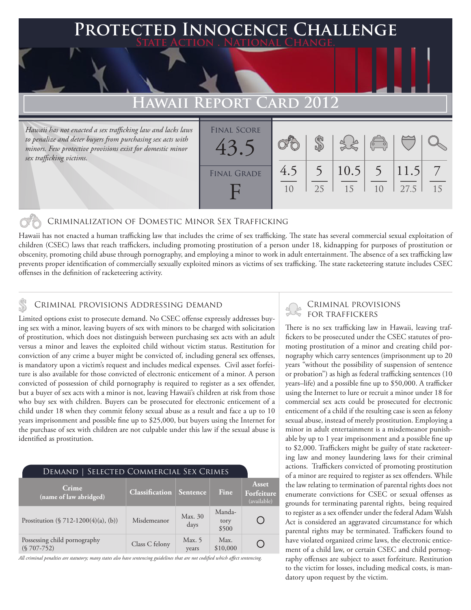### **FED INNOCENCE CHALLENGE State Action . National Change.**

## **REPORT**

*Hawaii has not enacted a sex trafficking law and lacks laws to penalize and deter buyers from purchasing sex acts with minors. Few protective provisions exist for domestic minor sex trafficking victims.*

| <b>FINAL SCORE</b><br>43.5 |           |    | 381            | $\begin{pmatrix} 0 & 0 \\ 0 & 0 \end{pmatrix}$ |               |    |
|----------------------------|-----------|----|----------------|------------------------------------------------|---------------|----|
| <b>FINAL GRADE</b>         | 4.5<br>10 | 25 | $10.5$ 5<br>15 | 10                                             | 11.5 <br>27.5 | 15 |

### Criminalization of Domestic Minor Sex Trafficking

Hawaii has not enacted a human trafficking law that includes the crime of sex trafficking. The state has several commercial sexual exploitation of children (CSEC) laws that reach traffickers, including promoting prostitution of a person under 18, kidnapping for purposes of prostitution or obscenity, promoting child abuse through pornography, and employing a minor to work in adult entertainment. The absence of a sex trafficking law prevents proper identification of commercially sexually exploited minors as victims of sex trafficking. The state racketeering statute includes CSEC offenses in the definition of racketeering activity.

### Criminal provisions Addressing demand

Limited options exist to prosecute demand. No CSEC offense expressly addresses buying sex with a minor, leaving buyers of sex with minors to be charged with solicitation of prostitution, which does not distinguish between purchasing sex acts with an adult versus a minor and leaves the exploited child without victim status. Restitution for conviction of any crime a buyer might be convicted of, including general sex offenses, is mandatory upon a victim's request and includes medical expenses. Civil asset forfeiture is also available for those convicted of electronic enticement of a minor. A person convicted of possession of child pornography is required to register as a sex offender, but a buyer of sex acts with a minor is not, leaving Hawaii's children at risk from those who buy sex with children. Buyers can be prosecuted for electronic enticement of a child under 18 when they commit felony sexual abuse as a result and face a up to 10 years imprisonment and possible fine up to \$25,000, but buyers using the Internet for the purchase of sex with children are not culpable under this law if the sexual abuse is identified as prostitution.

| DEMAND   SELECTED COMMERCIAL SEX CRIMES      |                       |                   |                         |                                    |  |  |  |  |
|----------------------------------------------|-----------------------|-------------------|-------------------------|------------------------------------|--|--|--|--|
| Crime<br>(name of law abridged)              | <b>Classification</b> | Sentence          | Fine                    | Asset<br>Forfeiture<br>(available) |  |  |  |  |
| Prostitution $(\frac{5712 - 1200(4)(a)}{b})$ | Misdemeanor           | Max. 30<br>days   | Manda-<br>tory<br>\$500 |                                    |  |  |  |  |
| Possessing child pornography<br>$(S707-752)$ | Class C felony        | Max. $5$<br>years | Max.<br>\$10,000        |                                    |  |  |  |  |

*All criminal penalties are statutory; many states also have sentencing guidelines that are not codified which affect sentencing.* 

# Criminal provisions

There is no sex trafficking law in Hawaii, leaving traffickers to be prosecuted under the CSEC statutes of promoting prostitution of a minor and creating child pornography which carry sentences (imprisonment up to 20 years "without the possibility of suspension of sentence or probation") as high as federal trafficking sentences (10 years–life) and a possible fine up to \$50,000. A trafficker using the Internet to lure or recruit a minor under 18 for commercial sex acts could be prosecuted for electronic enticement of a child if the resulting case is seen as felony sexual abuse, instead of merely prostitution. Employing a minor in adult entertainment is a misdemeanor punishable by up to 1 year imprisonment and a possible fine up to \$2,000. Traffickers might be guilty of state racketeering law and money laundering laws for their criminal actions. Traffickers convicted of promoting prostitution of a minor are required to register as sex offenders. While the law relating to termination of parental rights does not enumerate convictions for CSEC or sexual offenses as grounds for terminating parental rights, being required to register as a sex offender under the federal Adam Walsh Act is considered an aggravated circumstance for which parental rights may be terminated. Traffickers found to have violated organized crime laws, the electronic enticement of a child law, or certain CSEC and child pornography offenses are subject to asset forfeiture. Restitution to the victim for losses, including medical costs, is mandatory upon request by the victim.